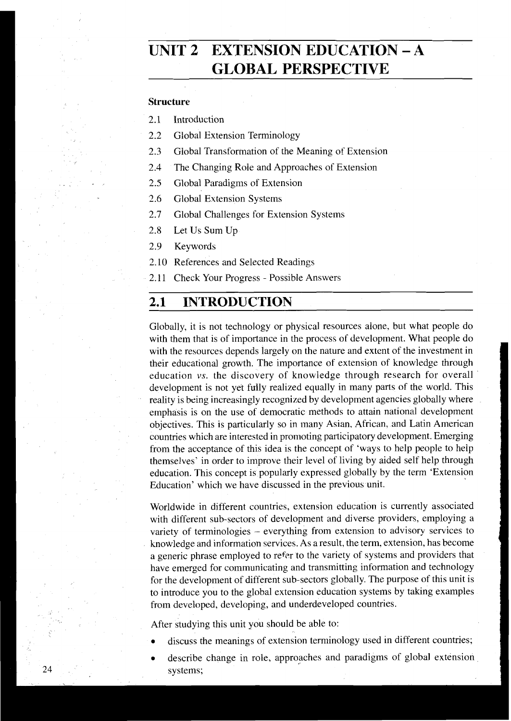# **UNIT 2 EXTENSION EDUCATION** - **<sup>A</sup> GLOBAL PERSPECTIVE**

### **Structure**

2.1 Introduction

- 2.2 Global Extension Terminology
- 2.3 Global Transformation of the Meaning of Extension
- 2.4 The Changing Role and Approaches of Extension
- 2.5 Global Paradigms of Extension
- 2.6 Global Extension Systems
- 2.7 Global Challenges for Extension Systems
- 2.8 Let Us Sum Up
- 2.9 Keywords
- 2.10 References and Selected Readings
- 2.11 Check Your Progress Possible Answers

# **2.1 INTRODUCTION**

Globally, it is not technology or physical resources alone, but what people do with them that is of importance in the process of development. What people do with the resources depends largely on the nature and extent of the investment in their educational growth. The importance of extension of knowledge through education **vs.** the discovery of knowledge through research for overall development is not yet fully realized equally in many parts of the world. This reality is being increasingly recognized by development agencies globally where emphasis is on the use of democratic methods to attain national development objectives. This is particularly so in inany Asian, African, and Latin American countries which are interested in promoting participatory development. Emerging from the acceptance of this idea is the concept of 'ways to help people to help themselves' in order to improve their level of living by aided self help through education. This concept is popularly expressed globally by the term 'Extension Education' which we have discussed in the previous unit.

Worldwide in different countries, extension education is currently associated with different sub-sectors of development and diverse providers, employing a variety of terminologies - everything from extension to advisory services to knowledge and information services. As a result, the term, extension, has become a generic phrase employed to refer to the variety of systems and providers that have emerged for communicating and transmitting information and technology for the development of different sub-sectors globally. The purpose of this unit is to introduce you to the global extension education systems by taking examples from developed, developing, and underdeveloped countries.

After studying this unit you should be able to:

- discuss the meanings of extension terminology used in different countries;
- describe change in role, approaches and paradigms of global extension systems;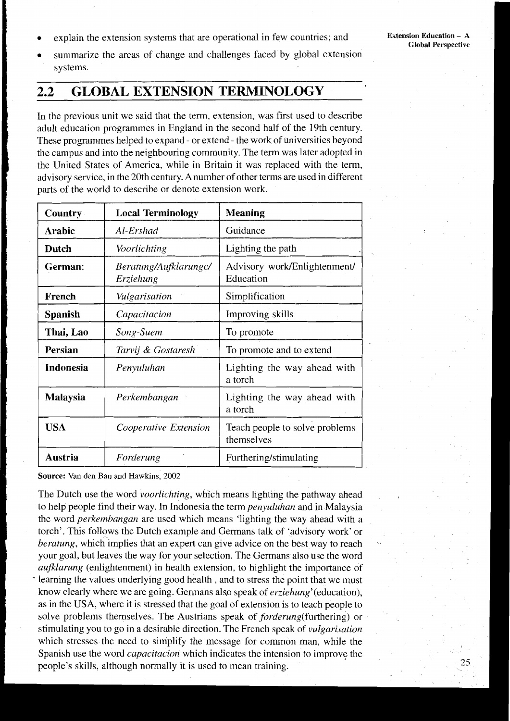explain the extension systems that are operational in few countries; and

summarize the areas of change and challenges faced by global extension systems.

#### $2.2$ **GLOBAL EXTENSION TERMINOLOGY**

In the previous unit we said that the term, extension, was first used to describe adult education programmes in England in the second half of the 19th century. These programmes helped to expand - or extend - the work of universities beyond the campus and into the neighbouring community. The term was later adopted in the United States of America, while in Britain it was replaced with the term, advisory service, in the 20th century. A number of other terms are used in different parts of the world to describe or denote extension work.

| <b>Country</b>   | <b>Local Terminology</b>           | <b>Meaning</b>                               |
|------------------|------------------------------------|----------------------------------------------|
| <b>Arabic</b>    | Al-Ershad                          | Guidance                                     |
| Dutch            | Voorlichting                       | Lighting the path                            |
| German:          | Beratung/Aufklarungc/<br>Erziehung | Advisory work/Enlightenment/<br>Education    |
| French           | Vulgarisation                      | Simplification                               |
| <b>Spanish</b>   | Capacitacion                       | Improving skills                             |
| Thai, Lao        | Song-Suem                          | To promote                                   |
| Persian          | Tarvij & Gostaresh                 | To promote and to extend                     |
| <b>Indonesia</b> | Penyuluhan                         | Lighting the way ahead with<br>a torch       |
| Malaysia         | Perkembangan                       | Lighting the way ahead with<br>a torch       |
| <b>USA</b>       | Cooperative Extension              | Teach people to solve problems<br>themselves |
| Austria          | Forderung                          | Furthering/stimulating                       |

Source: Van den Ban and Hawkins, 2002

The Dutch use the word *voorlichting*, which means lighting the pathway ahead to help people find their way. In Indonesia the term *penyuluhan* and in Malaysia the word *perkembangan* are used which means 'lighting the way ahead with a torch'. This follows the Dutch example and Germans talk of 'advisory work' or *beratung*, which implies that an expert can give advice on the best way to reach your goal, but leaves the way for your selection. The Germans also use the word aufklarung (enlightenment) in health extension, to highlight the importance of bearing the values underlying good health, and to stress the point that we must know clearly where we are going. Germans also speak of *erziehung*' (education), as in the USA, where it is stressed that the goal of extension is to teach people to solve problems themselves. The Austrians speak of forderung(furthering) or stimulating you to go in a desirable direction. The French speak of *vulgarisation* which stresses the need to simplify the message for common man, while the Spanish use the word *capacitacion* which indicates the intension to improve the people's skills, although normally it is used to mean training.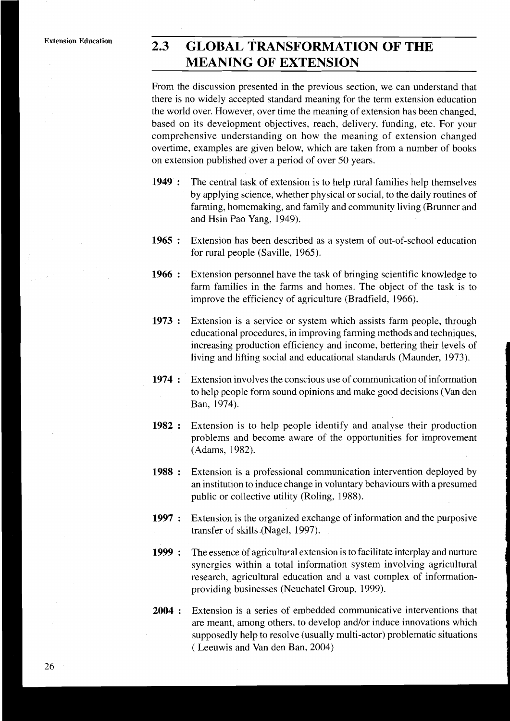### $2.3$ **GLOBAL TRANSFORMATION OF THE MEANING OF EXTENSION**

From the discussion presented in the previous section, we can understand that there is no widely accepted standard meaning for the term extension education the world over. However, over time the meaning of extension has been changed. based on its development objectives, reach, delivery, funding, etc. For your comprehensive understanding on how the meaning of extension changed overtime, examples are given below, which are taken from a number of books on extension published over a period of over 50 years.

- 1949: The central task of extension is to help rural families help themselves by applying science, whether physical or social, to the daily routines of farming, homemaking, and family and community living (Brunner and and Hsin Pao Yang, 1949).
- $1965:$ Extension has been described as a system of out-of-school education for rural people (Saville, 1965).
- 1966: Extension personnel have the task of bringing scientific knowledge to farm families in the farms and homes. The object of the task is to improve the efficiency of agriculture (Bradfield, 1966).
- $1973:$ Extension is a service or system which assists farm people, through educational procedures, in improving farming methods and techniques, increasing production efficiency and income, bettering their levels of living and lifting social and educational standards (Maunder, 1973).
- $1974:$ Extension involves the conscious use of communication of information to help people form sound opinions and make good decisions (Van den Ban, 1974).
- $1982:$ Extension is to help people identify and analyse their production problems and become aware of the opportunities for improvement (Adams, 1982).
- 1988: Extension is a professional communication intervention deployed by an institution to induce change in voluntary behaviours with a presumed public or collective utility (Roling, 1988).
- Extension is the organized exchange of information and the purposive  $1997:$ transfer of skills (Nagel, 1997).
- 1999: The essence of agricultural extension is to facilitate interplay and nurture synergies within a total information system involving agricultural research, agricultural education and a vast complex of informationproviding businesses (Neuchatel Group, 1999).
- Extension is a series of embedded communicative interventions that  $2004:$ are meant, among others, to develop and/or induce innovations which supposedly help to resolve (usually multi-actor) problematic situations (Leeuwis and Van den Ban, 2004)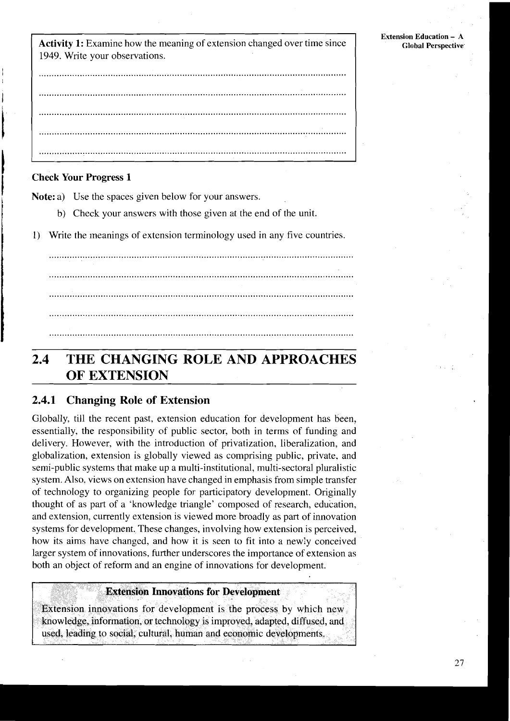**Activity 1:** Examine how the meaning of extension changed over time since 1949. Write your observations.

### **Check Your Progress 1**

**Note:** a) Use the spaces given below for your answers.

- b) Check your answers with those given at the end of the unit.
- Write the meanings of extension terminology used in any five countries.  $\left\{ \right\}$

### THE CHANGING ROLE AND APPROACHES  $2.4$ OF EXTENSION

#### 2.4.1 **Changing Role of Extension**

Globally, till the recent past, extension education for development has been, essentially, the responsibility of public sector, both in terms of funding and delivery. However, with the introduction of privatization, liberalization, and globalization, extension is globally viewed as comprising public, private, and semi-public systems that make up a multi-institutional, multi-sectoral pluralistic system. Also, views on extension have changed in emphasis from simple transfer of technology to organizing people for participatory development. Originally thought of as part of a 'knowledge triangle' composed of research, education, and extension, currently extension is viewed more broadly as part of innovation systems for development. These changes, involving how extension is perceived, how its aims have changed, and how it is seen to fit into a newly conceived larger system of innovations, further underscores the importance of extension as both an object of reform and an engine of innovations for development.

### **Extension Innovations for Development**

Extension innovations for development is the process by which new. knowledge, information, or technology is improved, adapted, diffused, and used, leading to social, cultural, human and economic developments.

**Extension Education - A** 

**Global Perspective**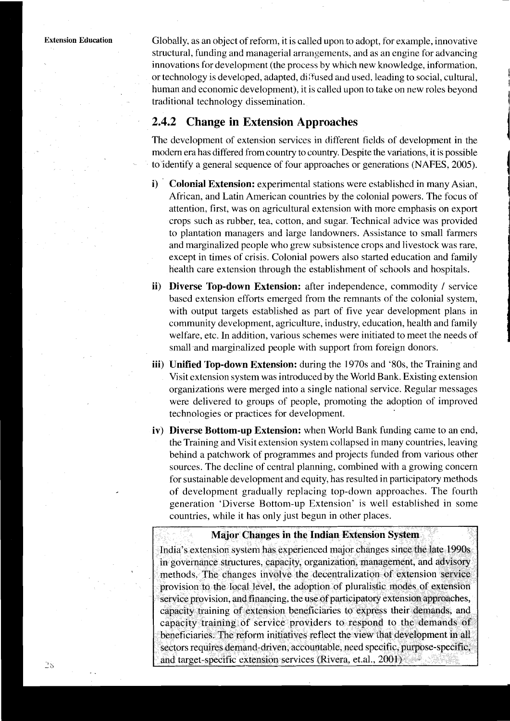**Extension Education** Globally, as an object of reform, it is called upon to adopt, for example, innovative structural, funding and managerial arrangements, and as an engine for advancing innovations for development (the process by which new knowledge, information, or technology is developecl, adapted, di:'fused and usecl, leading to social, cultural, human and economic development), it is called upon to take on new roles beyond traditional technology dissemination.

### **2.4.2 Change in Extension Approaches**

The development of extension services in different fields of development in the modem era has differed from country to country. Despite the variations, it is possible to identify a general sequence of four approaches or generations (NAFES. 2005).

- i) Colonial Extension: experimental stations were established in many Asian, African, and Latin American countries by the colonial powers. The focus of attention, first, was on agricultural extension with more emphasis on export crops such as rubber, tea, cotton, and sugar. Technical advice was provided to plantation managers and large landowners. Assistance to small farmers and marginalized people who grew subsistence crops and livestock was rare, except in times of crisis. Colonial powers also started education and family health care extension through the establishment of schools and hospitals.
- ii) Diverse Top-down Extension: after independence, commodity / service based extension efforts emerged from the remnants of the colonial system, with output targets established as part of five year development plans in community development, agriculture, industry, education, health and family welfare, etc. In addition, various schemes were initiated to meet the needs of small and marginalized people with support from foreign donors.
- iii) Unified Top-down Extension: during the 1970s and '80s, the Training and Visit extension system was introduced by the World Bank. Existing extension organizations were merged into a single national service. Regular messages were delivered to groups of people, promoting the adoption of improved technologies or practices for development.
- iv) Diverse Bottom-up Extension: when World Bank funding came to an end, the Training and Visit extension system collapsed in many countries, leaving behind a patchwork of programmes and projects funded from various other sources. The decline of central planning, combined with a growing concern for sustainable development and equity, has resulted in participatory methods of development gradually replacing top-down approaches. The fourth generation 'Diverse Bottom-up Extension' is well established in some countries, while it has only just begun in other places.

### **Major Changes in the Indian Extension System**

India's extension system has experienced major changes since the late 1990s in governance structures, capacity, organization, management, and advisory methods. The changes involve the decentralization of extension service provision to the local level, the adoption of pluralistic modes of extension service provision, and financing, the use of participatory extension approaches, capacity training of extension beneficiaries to express their demands, and capacity training of service providers to respond to the demands of beneficiaries. The reform initiatives reflect the view that development in all sectors requires demand-driven, accountable, need specific, purpose-specific, and target-specific extension services (Rivera, et.al., 2001)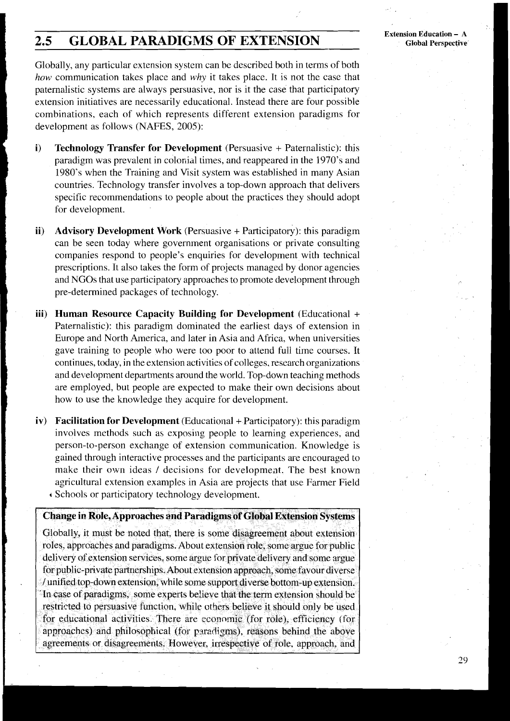# **2.5 GLOBAL PARADIGMS OF EXTENSION**

**Extension Education** - **<sup>A</sup> Global Perspective** 

Globally, any particular extension system can be described both in terms of both *how* communication takes place and *why* it takes place. It is not the case that paternalistic systems are always persuasive, nor is it the case that participatory extension initiatives are necessarily educational. Instead there are four possible combinations. each of which represents different extension paradigms for development as follows (NAFES, 2005):

- **i) Technology Transfer for Development** (Persuasive + Paternalistic): this paradigm was prevalent in colonial times, and reappeared in the 1970's and 1980's when the Training and Visit system was established in many Asian countries. Technology transfer involves a top-down approach that delivers specific recommendations to people about the practices they should adopt for development.
- **ii) Advisory Development Work** (Persuasive + Participatory): this paradigm can be seen today where government organisations or private consulting companies respond to people's enquiries for development with technical prescriptions. It also takes the form of projects managed by donor agencies and NGOs that use participatory approaches to promote development through pre-determined packages of technolcgy.
- **iii) Human Resource Capacity Building for Development** (Educational + Paternalistic): this paradigm dominated the earliest days of extension in Europe and North America, and later in Asia and Africa, when universities gave training to people who were too poor to attend full time courses. It continues, today, in the extension activities of colleges, research organizations and development departments around the world. Top-down teaching methods are employed, but people are expected to make their own decisions about how to use the knowledge they acquire for development.
- *iv* **Facilitation for Development** (Educational + Participatory): this paradigm involves methods such as exposing people to learning experiences, and person-to-person exchange of extension communication. Knowledge is gained through interactive processes and the participants are encouraged to make their own ideas / decisions for development. The best known agricultural extension examples in Asia are projects that use Farmer Field **i** Schools or participatory technology development.

### **Change in Role, Approaches and Paradigms of Global Extension Systems**  Globally, it must be noted that, there is some disagreement about extension roles, approaches and paradigms. About extension role, some argue for public delivery of extension services, some argue for private delivery and some argue for public-private partnerships. About extension approach, some favour diverse / unified top-down extension, while some support diverse bottom-up extension. In case of paradigms, some experts believe that the term extension should be restricted to persuasive function, while others believe it should only be used for educational activities. There are economic (for role), efficiency (for approaches) and philosophical (for paradigms), reasons behind the above agreements or disagreements. However, irrespective of role, approach, and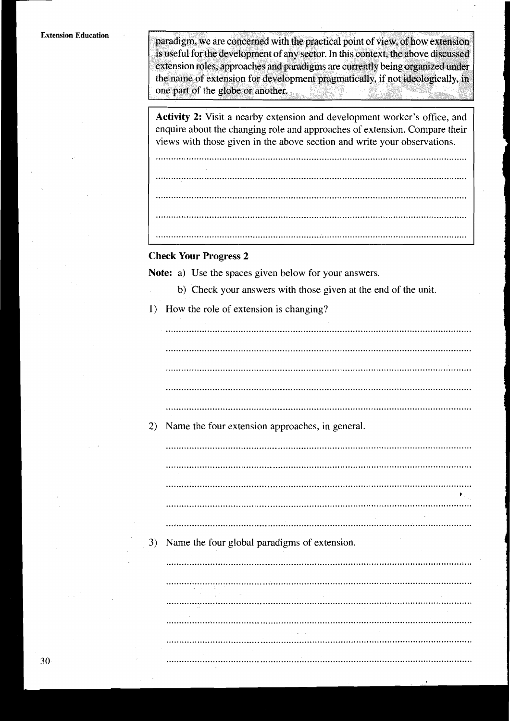paradigm, we are concerned with the practical point of view, of how extension is useful for the development of any sector. In this context, the above discussed extension roles, approaches and paradigms are currently being organized under the name of extension for development pragmatically, if not ideologically, in one part of the globe or another. ESS.

**Activity 2:** Visit a nearby extension and development worker's office, and enquire about the changing role and approaches of extension. Compare their views with those given in the above section and write your observations.

.......................................................................................................................... .......................................................................................................................... .......................................................................................................................... ..........................................................................................................................

..........................................................................................................................

### **Check Your Progress 2**

**Note:** a) Use the spaces given below for your answers.

- b) Check your answers with those given at the end of the unit.
- 1) How the role of extension is changing?

.......................................................................................................................

2) Name the four extension approaches, in general.

.......................................................................................................................

3) Name the four global paradigms of extension.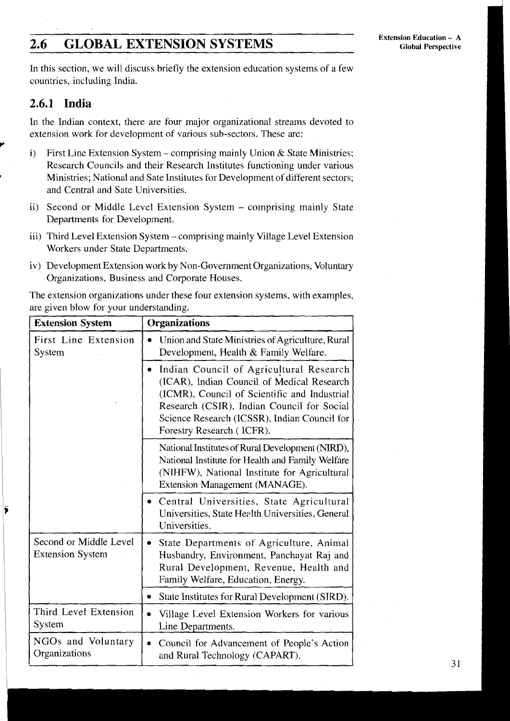### **GLOBAL EXTENSION SYSTEMS**  $2.6$

In this section, we will discuss briefly the extension education systems of a few countries, including India.

## **2.6.1 India**

In the Indian context, there are four major organizational streams devoted to extension work for development of various sub-sectors. These are:

- i) First Line Extension System comprising mainly Union & State Ministries; Research Councils and their Research Institutes functioning under various **Ministries; National and Sate Institutes for Development of different sectors;** and Central and Sate Universities.
- ii) Second or Middle Level Extension System comprising mainly State Departments for Development.
- iii) Third Level Extension System comprising mainly Village Level Extension Workers under State Departments.
- iv) Development Extension work by Non-Government Organizations, Voluntary Organizations, Business and Corporate Houses.

The extension organizations under these four extension systems, with examples, are given blow for your understanding.

| <b>Extension System</b>                           | Organizations                                                                                                                                                                                                                                                         |  |
|---------------------------------------------------|-----------------------------------------------------------------------------------------------------------------------------------------------------------------------------------------------------------------------------------------------------------------------|--|
| First Line Extension<br>System                    | Union and State Ministries of Agriculture, Rural<br>$\bullet$<br>Development, Health & Family Welfare.                                                                                                                                                                |  |
|                                                   | Indian Council of Agricultural Research<br>۰<br>(ICAR), Indian Council of Medical Research<br>(ICMR), Council of Scientific and Industrial<br>Research (CSIR), Indian Council for Social<br>Science Research (ICSSR), Indian Council for<br>Forestry Research (ICFR). |  |
|                                                   | National Institutes of Rural Development (NIRD),<br>National Institute for Health and Family Welfare<br>(NIHFW), National Institute for Agricultural<br>Extension Management (MANAGE).                                                                                |  |
|                                                   | • Central Universities, State Agricultural<br>Universities, State Health Universities, General<br>Universities.                                                                                                                                                       |  |
| Second or Middle Level<br><b>Extension System</b> | State Departments of Agriculture, Animal<br>$\bullet$<br>Husbandry, Environment, Panchayat Raj and<br>Rural Development, Revenue, Health and<br>Family Welfare, Education, Energy.                                                                                    |  |
|                                                   | State Institutes for Rural Development (SIRD).<br>٠                                                                                                                                                                                                                   |  |
| Third Level Extension<br>System                   | Village Level Extension Workers for various<br>$\bullet$<br>Line Departments.                                                                                                                                                                                         |  |
| NGOs and Voluntary<br>Organizations               | Council for Advancement of People's Action<br>$\bullet$<br>and Rural Technology (CAPART).                                                                                                                                                                             |  |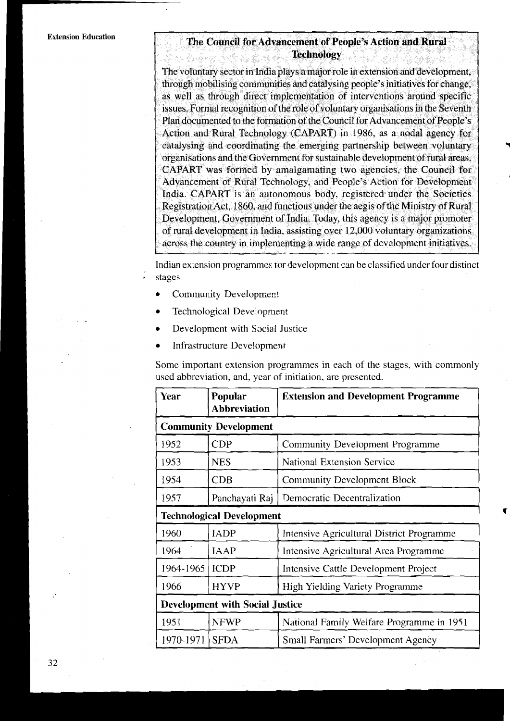### The Council for Advancement of People's Action and Rural **Technology** وأتمامه والمتعارض والمراد والكبارة

The voluntary sector in India plays a major role in extension and development. through mobilising communities and catalysing people's initiatives for change. as well as through direct implementation of interventions around specific issues. Formal recognition of the role of voluntary organisations in the Seventh Plan documented to the formation of the Council for Advancement of People's Action and Rural Technology (CAPART) in 1986, as a nodal agency for catalysing and coordinating the emerging partnership between voluntary organisations and the Government for sustainable development of rural areas. CAPART was formed by amalgamating two agencies, the Council for Advancement of Rural Technology, and People's Action for Development India. CAPART is an autonomous body, registered under the Societies Registration Act, 1860, and functions under the aegis of the Ministry of Rural Development, Government of India. Today, this agency is a major promoter of rural development in India, assisting over 12,000 voluntary organizations across the country in implementing a wide range of development initiatives.

Indian extension programmes ror development can be classified under four distinct , stages

- Community Development  $\bullet$
- Technological Development,
- Development with Social Justice
- Infrastructure Development

Some important extension programmes in each of the stages, with commonly used abbreviation, and, year of initiation, are presentcd.

| Year                                   | Popular<br><b>Abbreviation</b> | <b>Extension and Development Programme</b>  |
|----------------------------------------|--------------------------------|---------------------------------------------|
| <b>Community Development</b>           |                                |                                             |
| 1952                                   | <b>CDP</b>                     | Community Development Programme             |
| 1953                                   | <b>NES</b>                     | <b>National Extension Service</b>           |
| 1954                                   | CDB                            | <b>Community Development Block</b>          |
| 1957                                   | Panchayati Raj                 | Democratic Decentralization                 |
| <b>Technological Development</b>       |                                |                                             |
| 1960                                   | <b>IADP</b>                    | Intensive Agricultural District Programme   |
| 1964                                   | <b>IAAP</b>                    | Intensive Agricultural Area Programme       |
| 1964-1965                              | <b>ICDP</b>                    | <b>Intensive Cattle Development Project</b> |
| 1966                                   | <b>HYVP</b>                    | <b>High Yielding Variety Programme</b>      |
| <b>Development with Social Justice</b> |                                |                                             |
| 1951                                   | <b>NFWP</b>                    | National Family Welfare Programme in 1951   |
| 1970-1971                              | <b>SFDA</b>                    | Small Farmers' Development Agency           |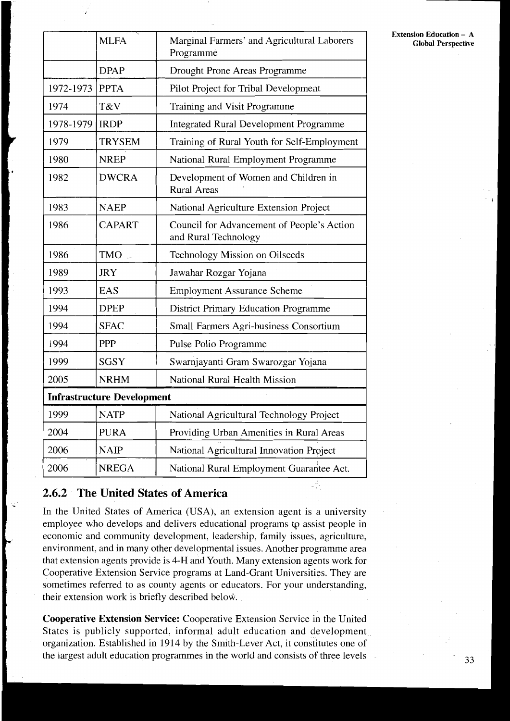|                                   | <b>MLFA</b>   | Marginal Farmers' and Agricultural Laborers<br>Programme           |
|-----------------------------------|---------------|--------------------------------------------------------------------|
|                                   | <b>DPAP</b>   | Drought Prone Areas Programme                                      |
| 1972-1973                         | <b>PPTA</b>   | Pilot Project for Tribal Development                               |
| 1974                              | T&V           | Training and Visit Programme                                       |
| 1978-1979                         | <b>IRDP</b>   | <b>Integrated Rural Development Programme</b>                      |
| 1979                              | <b>TRYSEM</b> | Training of Rural Youth for Self-Employment                        |
| 1980                              | <b>NREP</b>   | National Rural Employment Programme                                |
| 1982                              | <b>DWCRA</b>  | Development of Women and Children in<br><b>Rural Areas</b>         |
| 1983                              | <b>NAEP</b>   | National Agriculture Extension Project                             |
| 1986                              | <b>CAPART</b> | Council for Advancement of People's Action<br>and Rural Technology |
| 1986                              | TMO           | Technology Mission on Oilseeds                                     |
| 1989                              | <b>JRY</b>    | Jawahar Rozgar Yojana                                              |
| 1993                              | <b>EAS</b>    | <b>Employment Assurance Scheme</b>                                 |
| 1994                              | <b>DPEP</b>   | <b>District Primary Education Programme</b>                        |
| 1994                              | <b>SFAC</b>   | Small Farmers Agri-business Consortium                             |
| 1994                              | PPP           | Pulse Polio Programme                                              |
| 1999                              | <b>SGSY</b>   | Swarnjayanti Gram Swarozgar Yojana                                 |
| 2005                              | <b>NRHM</b>   | National Rural Health Mission                                      |
| <b>Infrastructure Development</b> |               |                                                                    |
| 1999                              | <b>NATP</b>   | National Agricultural Technology Project                           |
| 2004                              | <b>PURA</b>   | Providing Urban Amenities in Rural Areas                           |
| 2006                              | <b>NAIP</b>   | National Agricultural Innovation Project                           |
| 2006                              | <b>NREGA</b>  | National Rural Employment Guarantee Act.                           |

**i** 

**2.6.2 The United States of America**<br>In the United States of America (USA), an extension agent is a university employee who develops and delivers educational programs **tg** assist people in economic and community development, leadership. family issues, agriculture, environment, and in many other developmental issues. Another programme area that extension agents provide is 4-H and Youth. Many extension agents work for Cooperative Extension Service programs at Land-Grant Universities. They are sometimes referred to as county agents or educators. For your understanding, their extension work is briefly described below. <sup>I</sup>

<sup>I</sup>**Cooperative Extension Service:** Cooperative Extension Service in the United States is publicly supported, informal adult education and development organization. Established in 1914 by the Smith-Lever Act, it constitutes one of the largest adult education programmes in the world and consists of three levels **33 33**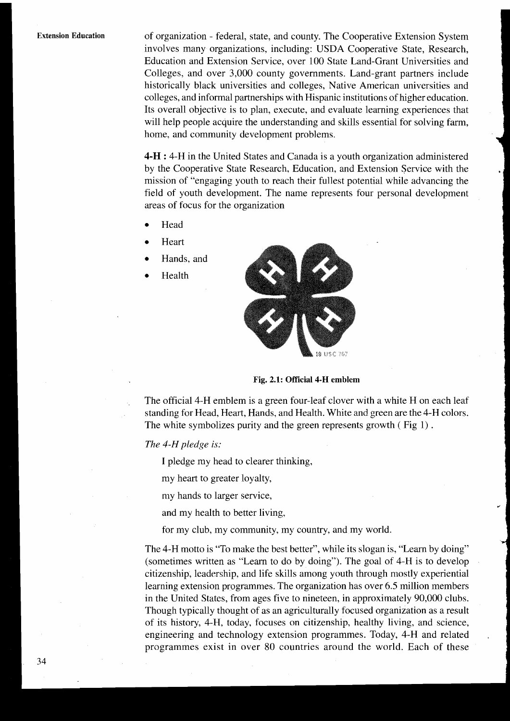**Extension Education** of organization - federal, state, and county. The Cooperative Extension System involves many organizations, including: USDA Cooperative State, Research, Education and Extension Service, over 100 State Land-Grant Universities and Colleges, and over 3,000 county governments. Land-grant partners include historically black universities and colleges, Native American universities and colleges, and informal partnerships with Hispanic institutions of higher education. Its overall objective is to plan, execute, and evaluate learning experiences that will help people acquire the understanding and skills essential for solving farm, home, and community development problems.

> **4-H** : 4-H in the United States and Canada is a youth organization administered by the Cooperative State Research, Education, and Extension Service with the mission of "engaging youth to reach their fullest potential while advancing the field of youth development. The name represents four personal development areas of focus for the organization

- Head
- Heart
- Hands, and
- Health



**Fig. 2.1: Official 4-H emblem** 

The official 4-H emblem is a green four-leaf clover with a white H on each leaf standing for Head, Heart, Hands, and Health. White and green are the 4-H colors. The white symbolizes purity and the green represents growth ( Fig 1) .

### *The 4-H pledge* **is:**

I pledge my head to clearer thinking,

my heart to greater loyalty,

my hands to larger service,

and my health to better living,

for my club, my community, my country, and my world.

The 4-H motto is "To make the best better", while its slogan is, "Learn by doing" (sometimes written as "Learn to do by doing"). The goal of 4-H is to develop citizenship, leadership, and life skills among youth through mostly experiential learning extension programmes. The organization has over 6.5 million members in the United States, from ages five to nineteen, in approximately 90,000 clubs. Though typically thought of as an agriculturally focused organization as a result of its history, 4-H, today, focuses on citizenship, healthy living, and science, engineering and technology extension programmes. Today, 4-H and related programmes exist in over 80 countries around the world. Each of these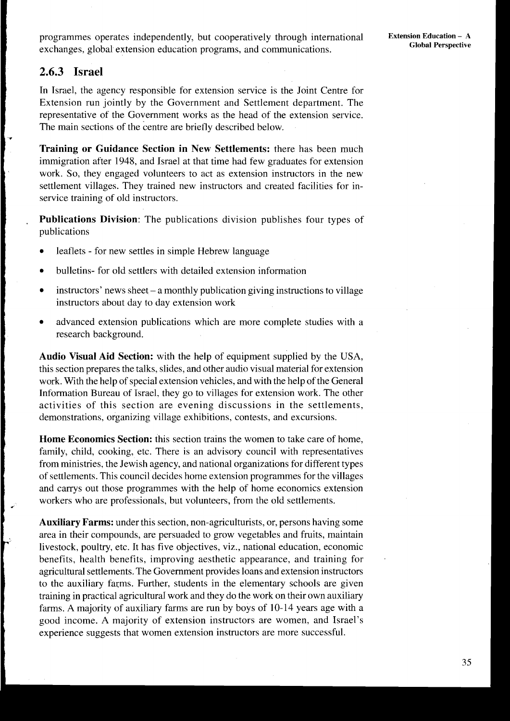# **2.6.3 Israel**

+

**4** 

In Israel, the agency responsible for extension service is the Joint Centre for Extension run jointly by the Government and Settlement department. The representative of the Government works as the head of the extension service. The main sections of the centre are briefly described below.

**Training or Guidance Section in New Settlements:** there has been much immigration after 1948, and Israel at that time had few graduates for extension work. So, they engaged volunteers to act as extension instructors in the new settlement villages. They trained new instructors and created facilities for inservice training of old instructors.

**Publications Division:** The publications division publishes four types of publications

- leaflets for new settles in simple Hebrew language
- bulletins- for old settlers with detailed extension information
- instructors' news sheet a monthly publication giving instructions to village instructors about day to day extension work
- advanced extension publications which are more complete studies with a research background.

**Audio Visual Aid Section:** with the help of equipment supplied by the USA, this section prepares the talks, slides, and other audio visual material for extension work. With the help of special extension vehicles, and with the help of the General Information Bureau of Israel, they go to villages for extension work. The other activities of this section are evening discussions in the settlements, demonstrations, organizing village exhibitions, contests, and excursions.

**Home Economics Section:** this section trains the women to take care of home, family, child, cooking, etc. There is an advisory council with representatives from ministries, the Jewish agency, and national organizations for different types of settlements. This council decides home extension programmes for the villages and carrys out those programmes with the help of home economics extension workers who are professionals, but volunteers, from the old settlements.

**Auxiliary Farms:** under this section, non-agriculturists, or, persons having some area in their compounds, are persuaded to grow vegetables and fruits, maintain livestock, poultry, etc. It has five objectives, viz., national education, economic benefits, health benefits, improving aesthetic appearance, and training for agricultural settlements. The Government provides loans and extension instructors to the auxiliary farms. Further, students in the elementary schools are given training in practical agricultural work and they do the work on their own auxiliary farms. A majority of auxiliary farms are run by boys of 10-14 years age with a good income. A majority of extension instructors are women, and Israel's experience suggests that women extension instructors are more successful.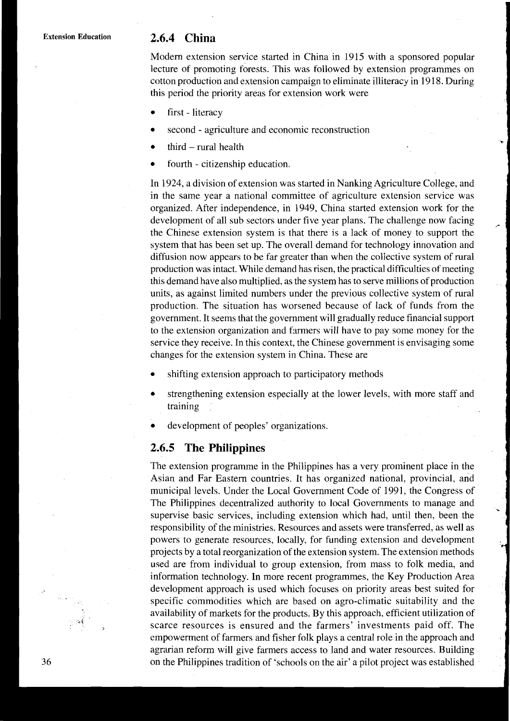### 2.6.4 China

Modern extension service started in China in 1915 with a sponsored popular **<sup>7</sup>** lecture of promoting forests. This was followed by extension programmes on cotton production and extension campaign to eliminate illiteracy in 19 18. During this period the priority areas for extension work were

- $\bullet$  first literacy
	- second agriculture and economic reconstruction
	- third  $-$  rural health
	- fourth citizenship education.

In 1924, a division of extension was started in Nanking Agriculture College, and in the same year a national committee of agriculture extension service was organized. After independence, in 1949, China started extension work for the development of all sub sectors under five year plans. The challenge now facing the Chinese extension system is that there is a lack of money to support the system that has been set up. The overall demand for technology innovation and diffusion now appears to be far greater than when the collective system of rural production was intact. While demand has risen, the practical difficulties of meeting this demand have also multiplied, as the system has to serve millions of production units, as against limited numbers under the previous collective system of rural production. The situation has worsened because of lack of funds from the government. It seems that the government will gradually reduce financial support to the extension organization and farmers will have to pay some money for the service they receive. In this context, the Chinese government is envisaging some changes for the extension system in China. These are

- shifting extension approach to participatory methods
- strengthening extension especially at the lower levels, with more staff and training
- Intervalse of peoples' organizations.<br> **2.6.5 The Philippines**

The extension programme in the Philippines has a very prominent place in the Asian and Far Eastern countries. It has organized national, provincial, and municipal levels. Under the Local Government Code of 1991, the Congress of<br>The Philippines decentralized authority to local Governments to manage and<br>supervise basic services, including extension which had, until then, bee responsibility of the ministries. Resources and assets were transferred, as well as powers to generate resources, locally, for funding extension and development projects by a total reorganization of the extension system. The extension methods used are from individual to group extension, from mass to folk media, and information technology. In more recent programmes, the Key Production Area development approach is used which focuses on priority areas best suited for specific commodities which are based on agro-climatic suitability and the availability of markets for the products. By this approach, efficient utilization of scarce resources is ensured and the farmers' investments paid off. The empowerment of farmers and fisher folk plays a central role in the approach and agrarian reform will give farmers access to land and water resources. Building 36 on the Philippines tradition of 'schools on the air' a pilot project was established

**2;**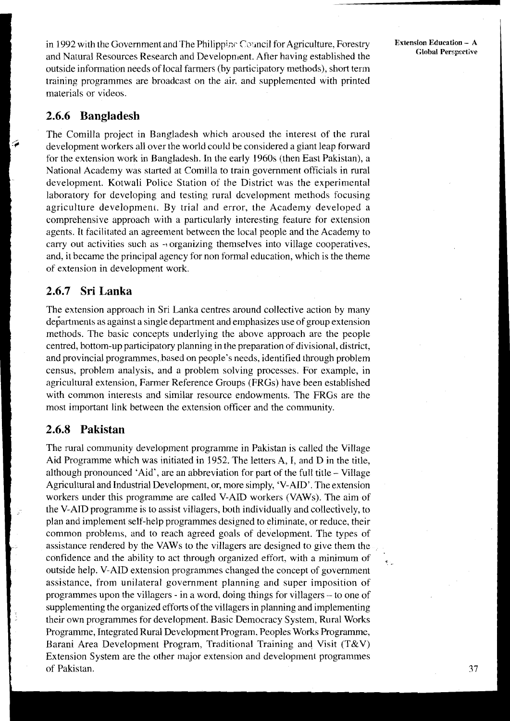in 1992 with the Government and The Philippinc Council for Agriculture, Forestry and Natural Resources Research and Development. After having established the outside information needs of local farmers (by participatory methods), short term training programmes are broadcast on the air, and supplemented with printed materials or videos.

### **2.6.6 Bangladesh**

The Comilla project in Bangladesh which aroused the interest of the rural development workers all over the world could be considered a giant leap forward for the extension work in Bangladesh. In the early 1960s (then East Pakistan), a National Academy was started at Comilla to train government officials in rural development. Kotwali Police Station of the District was the experimental laboratory for developing and testing rural development methods focusing agriculture development. By trial and error, the Academy developed a comprehensive approach with a particularly interesting feature for extension agents. It facilitated an agreement between the local people and the Academy to carry out activities such as  $\rightarrow$  organizing themselves into village cooperatives, and, it became the principal agency for non formal education, which is the theme of extension in development work.

### **2.6.7 Sri Lanka**

The extension approach in Sri Lanka centres around collective action by many departments as against a single department and emphasizes use of group extension methods. The basic concepts underlying the above approach are the people centred, bottom-up participatory planning in the preparation of divisional, district, and provincial programmes, based on people's needs, identified through problem census, problem analysis, and a problem solving processes. For example, in agricultural extension, Farmer Reference Groups (FRGs) have been established with common interests and similar resource endowments. The FRGs are the most important link between the extension officer and the community.

### **2.6.8 Pakistan**

The rural community development programme in Pakistan is called the Village Aid Programme which was initiated in 1952. The letters A, **I,** and D in the title, although pronounced 'Aid', are an abbreviation for part of the full title - Village Agricultural and Industrial Development, or, more simply, 'V-AID'. The extension workers under this programme are called V-AID workers (VAWs). The aim of the V-AID programme is to assist villagers, both individually and collectively, to plan and implement self-help programmes designed to eliminate, or reduce, their common problems, and to reach agreed goals of development. The types of assistance rendered by the VAWs to the villagers are designed to give them the confidence and the ability to act through organized effort, with a minimum of outside help. V-AID extension programmes changed the concept of government assistance, from unilateral government planning and super imposition of programmes upon the villagers - in a word, doing things for villagers - to one of supplementing the organized efforts of the villagers in planning and implementing their own programmes for development. Basic Democracy System, Rural Works Programme, Integrated Rural Development Program. Peoples Works Programme, Barani Area Development Program, Traditional Training and Visit (T&V) Extension System are the other major extension and development programmes of Pakistan.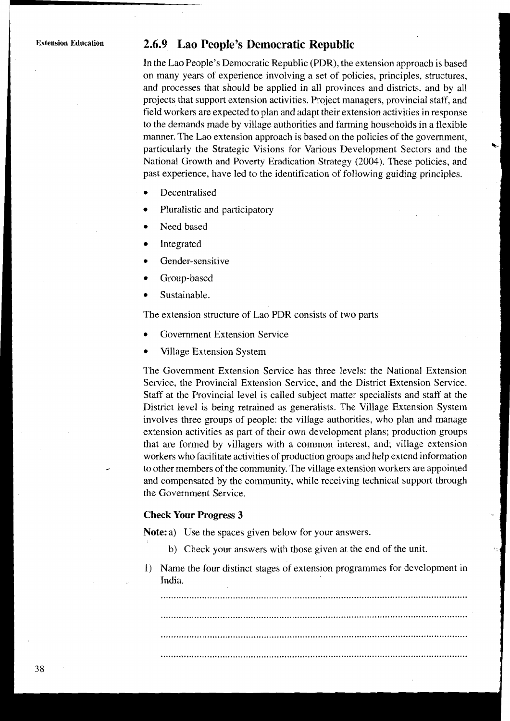## **Extension Education** *2.6.9* **Lao People's Democratic Republic**

In the Lao People's Democratic Republic (PDR), the extension approach is based on many years of experience involving a set of policies, principles, structures, and processes that should be applied in all provinces and districts. and by all projects that support extension activities. Project managers, provincial staff, and field workers are expected to plan and adapt their extension activities in response to the demands made by village authorities and farming households in a flexible manner. The Lao extension approach is based on the policies of the government, particularly the Strategic Visions for Various Development Sectors and the National Growth and Poverty Eradication Strategy (2004). These policies, and past experience, have led to the identification of following guiding principles.

- Decentralised
- Pluralistic and participatory
- Need based
- Integrated
- Gender-sensitive
- Group-based
- Sustainable.

The extension structure of Lao PDR consists of two parts

- Government Extension Service
- Village Extension System

The Government Extension Service has three levels: the National Extension Service, the Provincial Extension Service, and the District Extension Service. Staff at the Provincial level is called subject matter specialists and staff at the District level is being retrained as generalists. The Village Extension System involves three groups of people: the village authorities, who plan and manage extension activities as part of their own development plans; production groups that are formed by villagers with a common interest, and; village extension workers who facilitate activities of production groups and help extend information . to other members of the community. The village extension workers are appointed and compensated by the community, while receiving technical support through the Government Service.

### **Check Your Progress 3**

Note: a) Use the spaces given below for your answers.

- b) Check your answers with those given at the end of the unit.
- 1) Name the four distinct stages of extension programmes for development in India.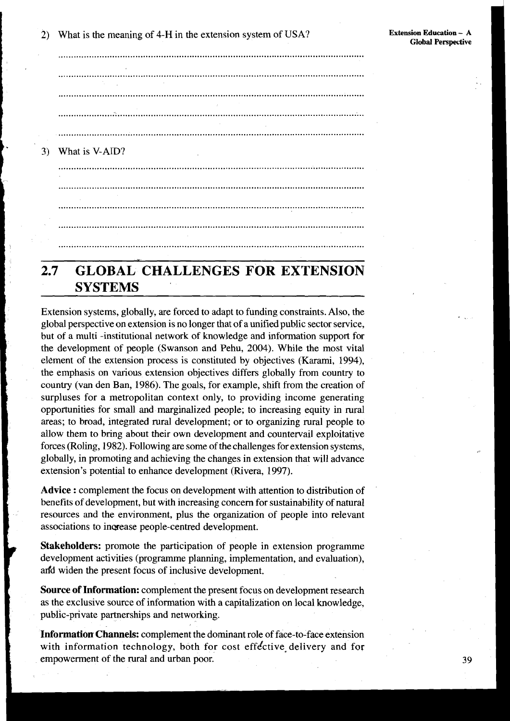What is the meaning of 4-H in the extension system of USA?  $\overline{2}$ 

3) What is V-AID? 

### **GLOBAL CHALLENGES FOR EXTENSION**  $2.7$ **SYSTEMS**

Extension systems, globally, are forced to adapt to funding constraints. Also, the global perspective on extension is no longer that of a unified public sector service, but of a multi-institutional network of knowledge and information support for the development of people (Swanson and Pehu, 2004). While the most vital element of the extension process is constituted by objectives (Karami, 1994), the emphasis on various extension objectives differs globally from country to country (van den Ban, 1986). The goals, for example, shift from the creation of surpluses for a metropolitan context only, to providing income generating opportunities for small and marginalized people; to increasing equity in rural areas; to broad, integrated rural development; or to organizing rural people to allow them to bring about their own development and countervail exploitative forces (Roling, 1982). Following are some of the challenges for extension systems, globally, in promoting and achieving the changes in extension that will advance extension's potential to enhance development (Rivera, 1997).

Advice : complement the focus on development with attention to distribution of benefits of development, but with increasing concern for sustainability of natural resources and the environment, plus the organization of people into relevant associations to increase people-centred development.

Stakeholders: promote the participation of people in extension programme development activities (programme planning, implementation, and evaluation), and widen the present focus of inclusive development.

**Source of Information:** complement the present focus on development research as the exclusive source of information with a capitalization on local knowledge, public-private partnerships and networking.

Information Channels: complement the dominant role of face-to-face extension with information technology, both for cost effective delivery and for empowerment of the rural and urban poor.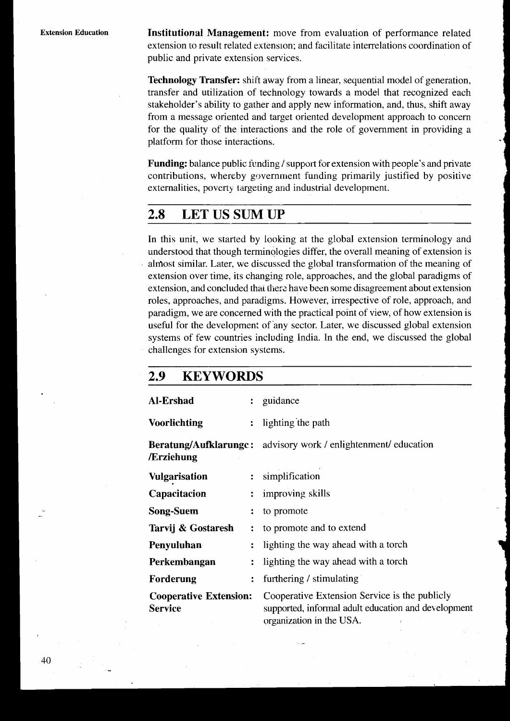**Institutional Management:** move from evaluation of performance related extension to result related extension: and facilitate interrelations coordination of public and private extension services.

**Technology Transfer:** shift away from a linear, sequential model of generation, transfer and utilization of technology towards a model that recognized each stakeholder's ability to gather and apply new information, and, thus, shift away from a message oriented and target oriented development approach to concern for the quality of the interactions and the role of government in providing a platform for those interactions.

**Funding:** balance public funding / support for extension with people's and private contributions, whereby government funding primarily justified by positive externalities, poverty targeting and industrial development.

#### 2.8 **LET US SUM UP**

In this unit, we started by looking at the global extension terminology and understood that though terminologies differ, the overall meaning of extension is almost similar. Later, we discussed the global transformation of the meaning of extension over time, its changing role, approaches, and the global paradigms of extension, and concluded that there have been some disagreement about extension roles, approaches, and paradigms. However, irrespective of role, approach, and paradigm, we are concerned with the practical point of view, of how extension is useful for the development of any sector. Later, we discussed global extension systems of few countries including India. In the end, we discussed the global challenges for extension systems.

#### 2.9 **KEYWORDS**

| Al-Ershad                                       | ÷                    | guidance                                                                                                                                    |
|-------------------------------------------------|----------------------|---------------------------------------------------------------------------------------------------------------------------------------------|
| <b>Voorlichting</b>                             | $\ddot{\cdot}$       | lighting the path                                                                                                                           |
| /Erziehung                                      |                      | <b>Beratung/Aufklarunge:</b> advisory work / enlightenment/ education                                                                       |
| <b>Vulgarisation</b>                            | $\mathbf{r}$         | simplification                                                                                                                              |
| Capacitacion                                    | $\ddot{\cdot}$       | improving skills                                                                                                                            |
| <b>Song-Suem</b>                                |                      | to promote                                                                                                                                  |
| Tarvij & Gostaresh                              | ÷                    | to promote and to extend                                                                                                                    |
| Penyuluhan                                      | $\ddot{\cdot}$       | lighting the way ahead with a torch                                                                                                         |
| Perkembangan                                    | $\ddot{\phantom{a}}$ | lighting the way ahead with a torch                                                                                                         |
| Forderung                                       | $\ddot{\cdot}$       | furthering / stimulating                                                                                                                    |
| <b>Cooperative Extension:</b><br><b>Service</b> |                      | Cooperative Extension Service is the publicly<br>supported, informal adult education and development<br>$\alpha$ organization in the $IISA$ |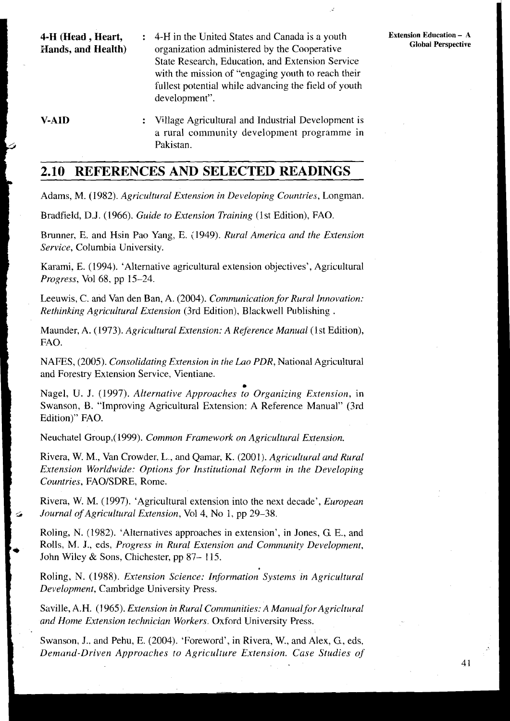- **4-H (Head , Heart,** : 4-H in the United States and Canada is a youth Extension Education A Hands, and Health) organization administered by the Cooperative Global Perspective **b**organization administered by the Cooperative State Research, Education, and Extension Service with the mission of "engaging youth to reach their fullest potential while advancing the field of youth development".
- **V-AID**  : Village Agricultural and Industrial Development is a rural community development programme in Pakistan.

# **2.10 REFERENCES AND SELECTED READINGS**

Adams, M. (1982). *Agricultural Extension in Developing Countries,* Longman.

Bradfield, D.J. (1966). *Guide to Extension Training* (1st Edition), FAO.

Brunner, E. and Hsin Pao Yang, E. (1949). *Rural America and the Extension Service,* Columbia University.

Karami, E. (1994). 'Alternative agricultural extension objectives', Agricultural *Progress,* Vol 68, pp 15-24.

Leeuwis, C. and Van den Ban, A. (2004). *Communication for Rural Innovation: Rethinking Agricultural Extension* (3rd Edition), Blackwell Publishing .

Maunder, A. (1973). *Agricultural Extension: A Reference Manual* (1st Edition), FAO.

NAFES, (2005). *Consolidating Extension in the Lao PDR,* National Agricultural and Forestry Extension Service, Vientiane.

**a**  Nagel, U. J. (1997). *Alternative Approaches to Organizing Extension,* in Swanson, B. "Improving Agricultural Extension: A Reference Manual" (3rd Edition)" FAO.

Neuchatel Group,(1999). *Common Framework on Agricultuml Extension.* 

Rivera, W. M., Van Crowder, L., and Qamar, K. (2001). *Agriculturul and Rural Extension Worldwide: Options for Institutional Reform in the Developing Countries,* FAOISDRE, Rome.

Rivera, W. M. ( 1997). 'Agricultural extension into the next decade', *European 5 Journal ofAgricultura1 Extension,* Vol4, No 1, pp 29-38.

Roling, N. (1982). 'Alternatives approaches in extension', in Jones, G. E., and Rolls, M. J., eds, *Progress in Rural Extension and Community Development*, John Wiley & Sons, Chichester, pp 87–115.

Roling, N. (1988). *Extension Science: Information Systems in Agricultural Development,* Cambridge University Press.

Saville, A.H. (1965). *Extension in Rural Communities: A Manual for Agricitural* and Home Extension technician Workers. Oxford University Press.

Swanson, J.. and Pehu, E. (2004). 'Foreword', in Rivera, W., and Alex, G., eds, Demand-Driven Approaches to Agriculture Extension. Case Studies of